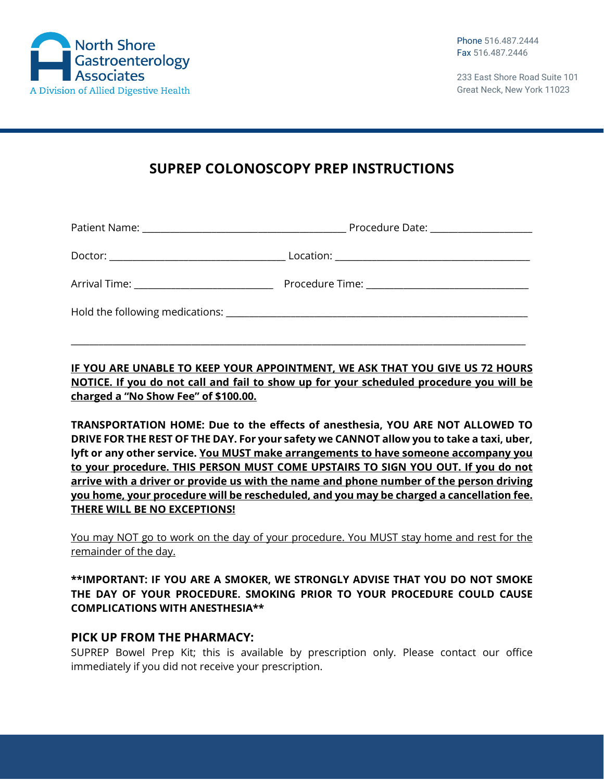

233 East Shore Road Suite 101 Great Neck, New York 11023

# **SUPREP COLONOSCOPY PREP INSTRUCTIONS**

|                                               | Procedure Date: _____________________ |
|-----------------------------------------------|---------------------------------------|
|                                               |                                       |
| Arrival Time: _______________________________ |                                       |
|                                               |                                       |

**IF YOU ARE UNABLE TO KEEP YOUR APPOINTMENT, WE ASK THAT YOU GIVE US 72 HOURS NOTICE. If you do not call and fail to show up for your scheduled procedure you will be charged a "No Show Fee" of \$100.00.**

\_\_\_\_\_\_\_\_\_\_\_\_\_\_\_\_\_\_\_\_\_\_\_\_\_\_\_\_\_\_\_\_\_\_\_\_\_\_\_\_\_\_\_\_\_\_\_\_\_\_\_\_\_\_\_\_\_\_\_\_\_\_\_\_\_\_\_\_\_\_\_\_\_\_\_\_\_\_\_\_\_\_\_\_\_\_\_\_\_\_\_\_\_\_\_\_\_\_

**TRANSPORTATION HOME: Due to the effects of anesthesia, YOU ARE NOT ALLOWED TO DRIVE FOR THE REST OF THE DAY. For your safety we CANNOT allow you to take a taxi, uber, lyft or any other service. You MUST make arrangements to have someone accompany you to your procedure. THIS PERSON MUST COME UPSTAIRS TO SIGN YOU OUT. If you do not arrive with a driver or provide us with the name and phone number of the person driving you home, your procedure will be rescheduled, and you may be charged a cancellation fee. THERE WILL BE NO EXCEPTIONS!**

You may NOT go to work on the day of your procedure. You MUST stay home and rest for the remainder of the day.

#### **\*\*IMPORTANT: IF YOU ARE A SMOKER, WE STRONGLY ADVISE THAT YOU DO NOT SMOKE THE DAY OF YOUR PROCEDURE. SMOKING PRIOR TO YOUR PROCEDURE COULD CAUSE COMPLICATIONS WITH ANESTHESIA\*\***

#### **PICK UP FROM THE PHARMACY:**

SUPREP Bowel Prep Kit; this is available by prescription only. Please contact our office immediately if you did not receive your prescription.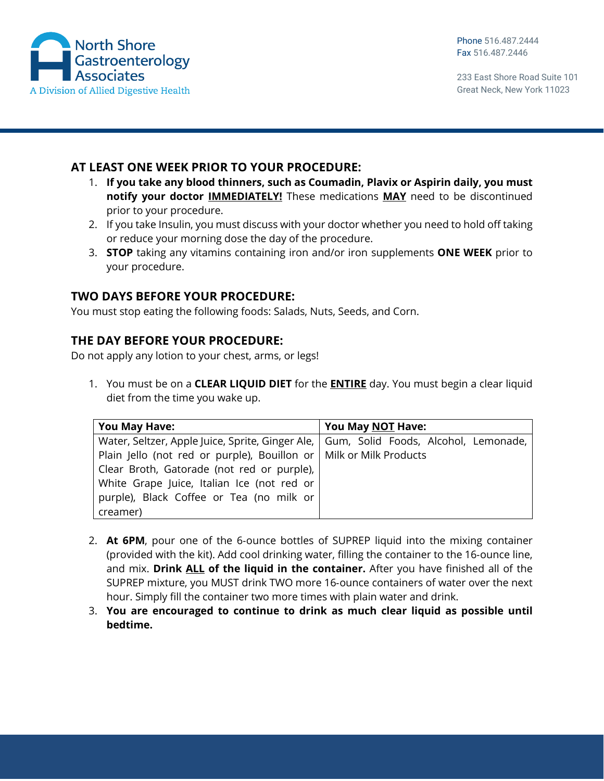

233 East Shore Road Suite 101 Great Neck, New York 11023

### **AT LEAST ONE WEEK PRIOR TO YOUR PROCEDURE:**

- 1. **If you take any blood thinners, such as Coumadin, Plavix or Aspirin daily, you must notify your doctor IMMEDIATELY!** These medications **MAY** need to be discontinued prior to your procedure.
- 2. If you take Insulin, you must discuss with your doctor whether you need to hold off taking or reduce your morning dose the day of the procedure.
- 3. **STOP** taking any vitamins containing iron and/or iron supplements **ONE WEEK** prior to your procedure.

### **TWO DAYS BEFORE YOUR PROCEDURE:**

You must stop eating the following foods: Salads, Nuts, Seeds, and Corn.

### **THE DAY BEFORE YOUR PROCEDURE:**

Do not apply any lotion to your chest, arms, or legs!

1. You must be on a **CLEAR LIQUID DIET** for the **ENTIRE** day. You must begin a clear liquid diet from the time you wake up.

| <b>You May Have:</b>                                                                    | You May NOT Have: |
|-----------------------------------------------------------------------------------------|-------------------|
| Water, Seltzer, Apple Juice, Sprite, Ginger Ale,   Gum, Solid Foods, Alcohol, Lemonade, |                   |
| Plain Jello (not red or purple), Bouillon or   Milk or Milk Products                    |                   |
| Clear Broth, Gatorade (not red or purple),                                              |                   |
| White Grape Juice, Italian Ice (not red or                                              |                   |
| purple), Black Coffee or Tea (no milk or                                                |                   |
| creamer)                                                                                |                   |

- 2. **At 6PM**, pour one of the 6‐ounce bottles of SUPREP liquid into the mixing container (provided with the kit). Add cool drinking water, filling the container to the 16‐ounce line, and mix. **Drink ALL of the liquid in the container.** After you have finished all of the SUPREP mixture, you MUST drink TWO more 16‐ounce containers of water over the next hour. Simply fill the container two more times with plain water and drink.
- 3. **You are encouraged to continue to drink as much clear liquid as possible until bedtime.**